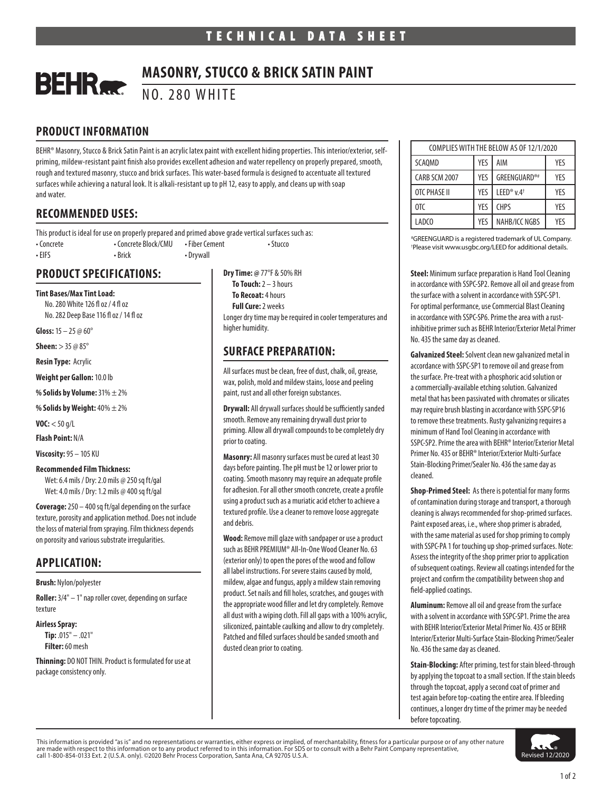# **BEHR**

## **MASONRY, STUCCO & BRICK SATIN PAINT**

NO. 280 WHITE

## **PRODUCT INFORMATION**

BEHR® Masonry, Stucco & Brick Satin Paint is an acrylic latex paint with excellent hiding properties. This interior/exterior, selfpriming, mildew-resistant paint finish also provides excellent adhesion and water repellency on properly prepared, smooth, rough and textured masonry, stucco and brick surfaces. This water-based formula is designed to accentuate all textured surfaces while achieving a natural look. It is alkali-resistant up to pH 12, easy to apply, and cleans up with soap and water.

## **RECOMMENDED USES:**

This product is ideal for use on properly prepared and primed above grade vertical surfaces such as: • Concrete • Concrete Block/CMU • Fiber Cement • Stucco • EIFS • Brick • Drywall

### **PRODUCT SPECIFICATIONS:**

**Tint Bases/Max Tint Load:**  No. 280 White 126 fl oz / 4 fl oz No. 282 Deep Base 116 fl oz / 14 fl oz

**Gloss:** 15 – 25 @ 60°

**Sheen:** > 35 @ 85°

**Resin Type:** Acrylic

**Weight per Gallon:** 10.0 lb

**% Solids by Volume:** 31% ± 2%

**% Solids by Weight:** 40% ± 2%

**VOC:** < 50 g/L

**Flash Point:** N/A

**Viscosity:** 95 – 105 KU

#### **Recommended Film Thickness:**

Wet: 6.4 mils / Dry: 2.0 mils @ 250 sq ft/gal Wet: 4.0 mils / Dry: 1.2 mils @ 400 sq ft/gal

**Coverage:** 250 – 400 sq ft/gal depending on the surface texture, porosity and application method. Does not include the loss of material from spraying. Film thickness depends on porosity and various substrate irregularities.

## **APPLICATION:**

**Brush:** Nylon/polyester

**Roller:** 3/4" – 1" nap roller cover, depending on surface texture

**Airless Spray:**

**Tip:** .015" – .021" **Filter:** 60 mesh

**Thinning:** DO NOT THIN. Product is formulated for use at package consistency only.

**Dry Time: @** 77°F & 50% RH **To Touch:** 2 – 3 hours **To Recoat:** 4 hours **Full Cure:** 2 weeks Longer dry time may be required in cooler temperatures and higher humidity.

## **SURFACE PREPARATION:**

All surfaces must be clean, free of dust, chalk, oil, grease, wax, polish, mold and mildew stains, loose and peeling paint, rust and all other foreign substances.

**Drywall:** All drywall surfaces should be sufficiently sanded smooth. Remove any remaining drywall dust prior to priming. Allow all drywall compounds to be completely dry prior to coating.

**Masonry:** All masonry surfaces must be cured at least 30 days before painting. The pH must be 12 or lower prior to coating. Smooth masonry may require an adequate profile for adhesion. For all other smooth concrete, create a profile using a product such as a muriatic acid etcher to achieve a textured profile. Use a cleaner to remove loose aggregate and debris.

**Wood:** Remove mill glaze with sandpaper or use a product such as BEHR PREMIUM® All-In-One Wood Cleaner No. 63 (exterior only) to open the pores of the wood and follow all label instructions. For severe stains caused by mold, mildew, algae and fungus, apply a mildew stain removing product. Set nails and fill holes, scratches, and gouges with the appropriate wood filler and let dry completely. Remove all dust with a wiping cloth. Fill all gaps with a 100% acrylic, siliconized, paintable caulking and allow to dry completely. Patched and filled surfaces should be sanded smooth and dusted clean prior to coating.

| COMPLIES WITH THE BELOW AS OF 12/1/2020 |     |                                    |     |
|-----------------------------------------|-----|------------------------------------|-----|
| SCAQMD                                  | YES | AIM                                | YES |
| CARB SCM 2007                           | YFS | GREENGUARD®#                       | YES |
| OTC PHASE II                            | YES | LEED <sup>®</sup> v.4 <sup>+</sup> | YFS |
| 0TC                                     | YES | <b>CHPS</b>                        | YFS |
| LADCO                                   | YFS | NAHB/ICC NGBS                      | YFS |

# GREENGUARD is a registered trademark of UL Company. † Please visit www.usgbc.org/LEED for additional details.

**Steel:** Minimum surface preparation is Hand Tool Cleaning in accordance with SSPC-SP2. Remove all oil and grease from the surface with a solvent in accordance with SSPC-SP1. For optimal performance, use Commercial Blast Cleaning in accordance with SSPC-SP6. Prime the area with a rustinhibitive primer such as BEHR Interior/Exterior Metal Primer No. 435 the same day as cleaned.

**Galvanized Steel:** Solvent clean new galvanized metal in accordance with SSPC-SP1 to remove oil and grease from the surface. Pre-treat with a phosphoric acid solution or a commercially-available etching solution. Galvanized metal that has been passivated with chromates or silicates may require brush blasting in accordance with SSPC-SP16 to remove these treatments. Rusty galvanizing requires a minimum of Hand Tool Cleaning in accordance with SSPC-SP2. Prime the area with BEHR® Interior/Exterior Metal Primer No. 435 or BEHR® Interior/Exterior Multi-Surface Stain-Blocking Primer/Sealer No. 436 the same day as cleaned.

**Shop-Primed Steel:** As there is potential for many forms of contamination during storage and transport, a thorough cleaning is always recommended for shop-primed surfaces. Paint exposed areas, i.e., where shop primer is abraded, with the same material as used for shop priming to comply with SSPC-PA 1 for touching up shop-primed surfaces. Note: Assess the integrity of the shop primer prior to application of subsequent coatings. Review all coatings intended for the project and confirm the compatibility between shop and field-applied coatings.

**Aluminum:** Remove all oil and grease from the surface with a solvent in accordance with SSPC-SP1. Prime the area with BEHR Interior/Exterior Metal Primer No. 435 or BEHR Interior/Exterior Multi-Surface Stain-Blocking Primer/Sealer No. 436 the same day as cleaned.

**Stain-Blocking:** After priming, test for stain bleed-through by applying the topcoat to a small section. If the stain bleeds through the topcoat, apply a second coat of primer and test again before top-coating the entire area. If bleeding continues, a longer dry time of the primer may be needed before topcoating.

This information is provided "as is" and no representations or warranties, either express or implied, of merchantability, fitness for a particular purpose or of any other nature are made with respect to this information or to any product referred to in this information. For SDS or to consult with a Behr Paint Company representative,<br>call 1-800-854-0133 Ext. 2 (U.S.A. only). ©2020 Behr Process Corp